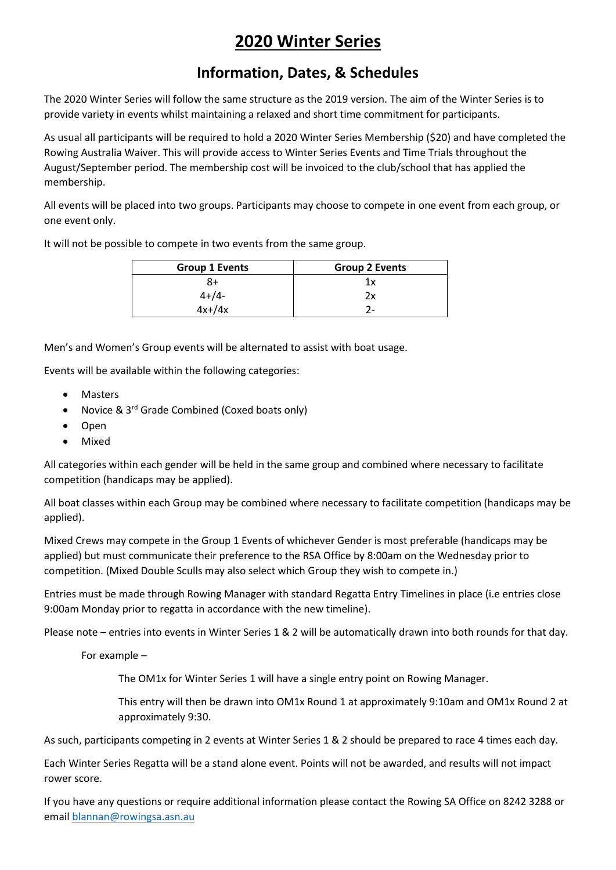# **2020 Winter Series**

#### **Information, Dates, & Schedules**

The 2020 Winter Series will follow the same structure as the 2019 version. The aim of the Winter Series is to provide variety in events whilst maintaining a relaxed and short time commitment for participants.

As usual all participants will be required to hold a 2020 Winter Series Membership (\$20) and have completed the Rowing Australia Waiver. This will provide access to Winter Series Events and Time Trials throughout the August/September period. The membership cost will be invoiced to the club/school that has applied the membership.

All events will be placed into two groups. Participants may choose to compete in one event from each group, or one event only.

It will not be possible to compete in two events from the same group.

| <b>Group 1 Events</b> | <b>Group 2 Events</b> |
|-----------------------|-----------------------|
| 8+                    | 1х                    |
| $4 + 4 -$             | 2х                    |
| $4x+ / 4x$            |                       |

Men's and Women's Group events will be alternated to assist with boat usage.

Events will be available within the following categories:

- **Masters**
- Novice & 3rd Grade Combined (Coxed boats only)
- Open
- Mixed

All categories within each gender will be held in the same group and combined where necessary to facilitate competition (handicaps may be applied).

All boat classes within each Group may be combined where necessary to facilitate competition (handicaps may be applied).

Mixed Crews may compete in the Group 1 Events of whichever Gender is most preferable (handicaps may be applied) but must communicate their preference to the RSA Office by 8:00am on the Wednesday prior to competition. (Mixed Double Sculls may also select which Group they wish to compete in.)

Entries must be made through Rowing Manager with standard Regatta Entry Timelines in place (i.e entries close 9:00am Monday prior to regatta in accordance with the new timeline).

Please note – entries into events in Winter Series 1 & 2 will be automatically drawn into both rounds for that day.

For example –

The OM1x for Winter Series 1 will have a single entry point on Rowing Manager.

This entry will then be drawn into OM1x Round 1 at approximately 9:10am and OM1x Round 2 at approximately 9:30.

As such, participants competing in 2 events at Winter Series 1 & 2 should be prepared to race 4 times each day.

Each Winter Series Regatta will be a stand alone event. Points will not be awarded, and results will not impact rower score.

If you have any questions or require additional information please contact the Rowing SA Office on 8242 3288 or emai[l blannan@rowingsa.asn.au](mailto:blannan@rowingsa.asn.au)